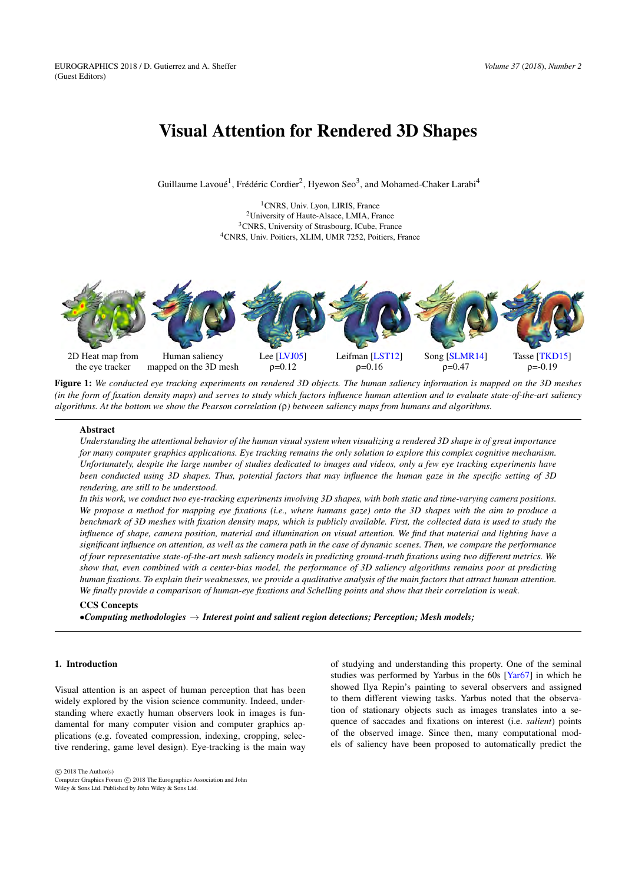# <span id="page-0-1"></span>Visual Attention for Rendered 3D Shapes

Guillaume Lavoué<sup>1</sup>, Frédéric Cordier<sup>2</sup>, Hyewon Seo<sup>3</sup>, and Mohamed-Chaker Larabi<sup>4</sup>

<sup>1</sup>CNRS, Univ. Lyon, LIRIS, France University of Haute-Alsace, LMIA, France CNRS, University of Strasbourg, ICube, France CNRS, Univ. Poitiers, XLIM, UMR 7252, Poitiers, France



<span id="page-0-0"></span>Figure 1: *We conducted eye tracking experiments on rendered 3D objects. The human saliency information is mapped on the 3D meshes (in the form of fixation density maps) and serves to study which factors influence human attention and to evaluate state-of-the-art saliency algorithms. At the bottom we show the Pearson correlation (*ρ*) between saliency maps from humans and algorithms.*

# Abstract

*Understanding the attentional behavior of the human visual system when visualizing a rendered 3D shape is of great importance for many computer graphics applications. Eye tracking remains the only solution to explore this complex cognitive mechanism. Unfortunately, despite the large number of studies dedicated to images and videos, only a few eye tracking experiments have been conducted using 3D shapes. Thus, potential factors that may influence the human gaze in the specific setting of 3D rendering, are still to be understood.*

*In this work, we conduct two eye-tracking experiments involving 3D shapes, with both static and time-varying camera positions. We propose a method for mapping eye fixations (i.e., where humans gaze) onto the 3D shapes with the aim to produce a benchmark of 3D meshes with fixation density maps, which is publicly available. First, the collected data is used to study the influence of shape, camera position, material and illumination on visual attention. We find that material and lighting have a significant influence on attention, as well as the camera path in the case of dynamic scenes. Then, we compare the performance of four representative state-of-the-art mesh saliency models in predicting ground-truth fixations using two different metrics. We show that, even combined with a center-bias model, the performance of 3D saliency algorithms remains poor at predicting human fixations. To explain their weaknesses, we provide a qualitative analysis of the main factors that attract human attention. We finally provide a comparison of human-eye fixations and Schelling points and show that their correlation is weak.*

# CCS Concepts

•*Computing methodologies* → *Interest point and salient region detections; Perception; Mesh models;*

# 1. Introduction

Visual attention is an aspect of human perception that has been widely explored by the vision science community. Indeed, understanding where exactly human observers look in images is fundamental for many computer vision and computer graphics applications (e.g. foveated compression, indexing, cropping, selective rendering, game level design). Eye-tracking is the main way of studying and understanding this property. One of the seminal studies was performed by Yarbus in the 60s [\[Yar67\]](#page-12-4) in which he showed Ilya Repin's painting to several observers and assigned to them different viewing tasks. Yarbus noted that the observation of stationary objects such as images translates into a sequence of saccades and fixations on interest (i.e. *salient*) points of the observed image. Since then, many computational models of saliency have been proposed to automatically predict the

 $\circ$  2018 The Author(s)

Computer Graphics Forum (C) 2018 The Eurographics Association and John Wiley & Sons Ltd. Published by John Wiley & Sons Ltd.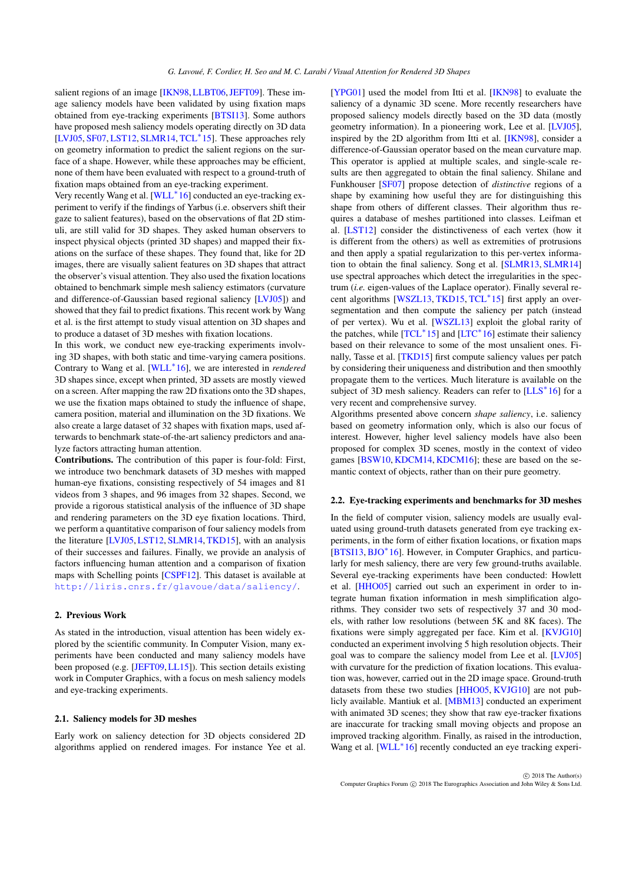<span id="page-1-1"></span>salient regions of an image [\[IKN98,](#page-12-5) [LLBT06,](#page-12-6) [JEFT09\]](#page-12-7). These image saliency models have been validated by using fixation maps obtained from eye-tracking experiments [\[BTSI13\]](#page-12-8). Some authors have proposed mesh saliency models operating directly on 3D data [\[LVJ05,](#page-12-0) [SF07,](#page-12-9) [LST12,](#page-12-1) [SLMR14,](#page-12-2) [TCL](#page-12-10)<sup>∗</sup> 15]. These approaches rely on geometry information to predict the salient regions on the surface of a shape. However, while these approaches may be efficient, none of them have been evaluated with respect to a ground-truth of fixation maps obtained from an eye-tracking experiment.

Very recently Wang et al. [\[WLL](#page-12-11)<sup>\*16</sup>] conducted an eye-tracking experiment to verify if the findings of Yarbus (i.e. observers shift their gaze to salient features), based on the observations of flat 2D stimuli, are still valid for 3D shapes. They asked human observers to inspect physical objects (printed 3D shapes) and mapped their fixations on the surface of these shapes. They found that, like for 2D images, there are visually salient features on 3D shapes that attract the observer's visual attention. They also used the fixation locations obtained to benchmark simple mesh saliency estimators (curvature and difference-of-Gaussian based regional saliency [\[LVJ05\]](#page-12-0)) and showed that they fail to predict fixations. This recent work by Wang et al. is the first attempt to study visual attention on 3D shapes and to produce a dataset of 3D meshes with fixation locations.

In this work, we conduct new eye-tracking experiments involving 3D shapes, with both static and time-varying camera positions. Contrary to Wang et al. [\[WLL](#page-12-11)<sup>∗</sup> 16], we are interested in *rendered* 3D shapes since, except when printed, 3D assets are mostly viewed on a screen. After mapping the raw 2D fixations onto the 3D shapes, we use the fixation maps obtained to study the influence of shape, camera position, material and illumination on the 3D fixations. We also create a large dataset of 32 shapes with fixation maps, used afterwards to benchmark state-of-the-art saliency predictors and analyze factors attracting human attention.

Contributions. The contribution of this paper is four-fold: First, we introduce two benchmark datasets of 3D meshes with mapped human-eye fixations, consisting respectively of 54 images and 81 videos from 3 shapes, and 96 images from 32 shapes. Second, we provide a rigorous statistical analysis of the influence of 3D shape and rendering parameters on the 3D eye fixation locations. Third, we perform a quantitative comparison of four saliency models from the literature [\[LVJ05,](#page-12-0) [LST12,](#page-12-1) [SLMR14,](#page-12-2) [TKD15\]](#page-12-3), with an analysis of their successes and failures. Finally, we provide an analysis of factors influencing human attention and a comparison of fixation maps with Schelling points [\[CSPF12\]](#page-12-12). This dataset is available at <http://liris.cnrs.fr/glavoue/data/saliency/>.

# <span id="page-1-0"></span>2. Previous Work

As stated in the introduction, visual attention has been widely explored by the scientific community. In Computer Vision, many experiments have been conducted and many saliency models have been proposed (e.g. [\[JEFT09,](#page-12-7)[LL15\]](#page-12-13)). This section details existing work in Computer Graphics, with a focus on mesh saliency models and eye-tracking experiments.

# 2.1. Saliency models for 3D meshes

Early work on saliency detection for 3D objects considered 2D algorithms applied on rendered images. For instance Yee et al. [\[YPG01\]](#page-12-14) used the model from Itti et al. [\[IKN98\]](#page-12-5) to evaluate the saliency of a dynamic 3D scene. More recently researchers have proposed saliency models directly based on the 3D data (mostly geometry information). In a pioneering work, Lee et al. [\[LVJ05\]](#page-12-0), inspired by the 2D algorithm from Itti et al. [\[IKN98\]](#page-12-5), consider a difference-of-Gaussian operator based on the mean curvature map. This operator is applied at multiple scales, and single-scale results are then aggregated to obtain the final saliency. Shilane and Funkhouser [\[SF07\]](#page-12-9) propose detection of *distinctive* regions of a shape by examining how useful they are for distinguishing this shape from others of different classes. Their algorithm thus requires a database of meshes partitioned into classes. Leifman et al. [\[LST12\]](#page-12-1) consider the distinctiveness of each vertex (how it is different from the others) as well as extremities of protrusions and then apply a spatial regularization to this per-vertex information to obtain the final saliency. Song et al. [\[SLMR13,](#page-12-15) [SLMR14\]](#page-12-2) use spectral approaches which detect the irregularities in the spectrum (*i.e.* eigen-values of the Laplace operator). Finally several re-cent algorithms [\[WSZL13,](#page-12-16) [TKD15,](#page-12-3) [TCL](#page-12-10)<sup>\*</sup>15] first apply an oversegmentation and then compute the saliency per patch (instead of per vertex). Wu et al. [\[WSZL13\]](#page-12-16) exploit the global rarity of the patches, while [\[TCL](#page-12-10)<sup>\*</sup>15] and [\[LTC](#page-12-17)<sup>\*</sup>16] estimate their saliency based on their relevance to some of the most unsalient ones. Finally, Tasse et al. [\[TKD15\]](#page-12-3) first compute saliency values per patch by considering their uniqueness and distribution and then smoothly propagate them to the vertices. Much literature is available on the subject of 3D mesh saliency. Readers can refer to [\[LLS](#page-12-18)<sup>\*</sup>16] for a very recent and comprehensive survey.

Algorithms presented above concern *shape saliency*, i.e. saliency based on geometry information only, which is also our focus of interest. However, higher level saliency models have also been proposed for complex 3D scenes, mostly in the context of video games [\[BSW10,](#page-12-19) [KDCM14,](#page-12-20) [KDCM16\]](#page-12-21); these are based on the semantic context of objects, rather than on their pure geometry.

### 2.2. Eye-tracking experiments and benchmarks for 3D meshes

In the field of computer vision, saliency models are usually evaluated using ground-truth datasets generated from eye tracking experiments, in the form of either fixation locations, or fixation maps [\[BTSI13,](#page-12-8) [BJO](#page-12-22)<sup>∗</sup> 16]. However, in Computer Graphics, and particularly for mesh saliency, there are very few ground-truths available. Several eye-tracking experiments have been conducted: Howlett et al. [\[HHO05\]](#page-12-23) carried out such an experiment in order to integrate human fixation information in mesh simplification algorithms. They consider two sets of respectively 37 and 30 models, with rather low resolutions (between 5K and 8K faces). The fixations were simply aggregated per face. Kim et al. [\[KVJG10\]](#page-12-24) conducted an experiment involving 5 high resolution objects. Their goal was to compare the saliency model from Lee et al. [\[LVJ05\]](#page-12-0) with curvature for the prediction of fixation locations. This evaluation was, however, carried out in the 2D image space. Ground-truth datasets from these two studies [\[HHO05,](#page-12-23) [KVJG10\]](#page-12-24) are not publicly available. Mantiuk et al. [\[MBM13\]](#page-12-25) conducted an experiment with animated 3D scenes; they show that raw eye-tracker fixations are inaccurate for tracking small moving objects and propose an improved tracking algorithm. Finally, as raised in the introduction, Wang et al. [\[WLL](#page-12-11)<sup>\*16]</sup> recently conducted an eye tracking experi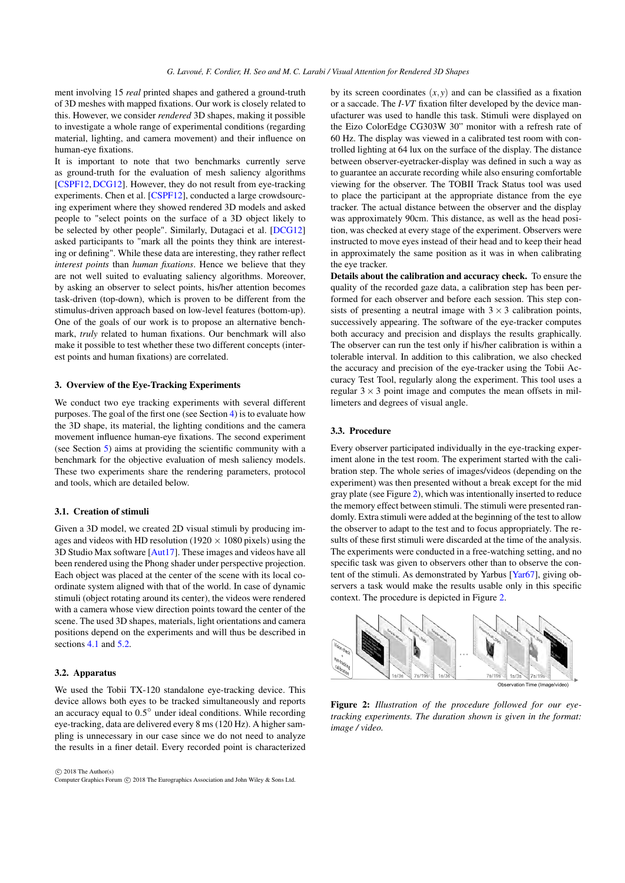<span id="page-2-1"></span>ment involving 15 *real* printed shapes and gathered a ground-truth of 3D meshes with mapped fixations. Our work is closely related to this. However, we consider *rendered* 3D shapes, making it possible to investigate a whole range of experimental conditions (regarding material, lighting, and camera movement) and their influence on human-eye fixations.

It is important to note that two benchmarks currently serve as ground-truth for the evaluation of mesh saliency algorithms [\[CSPF12,](#page-12-12) [DCG12\]](#page-12-26). However, they do not result from eye-tracking experiments. Chen et al. [\[CSPF12\]](#page-12-12), conducted a large crowdsourcing experiment where they showed rendered 3D models and asked people to "select points on the surface of a 3D object likely to be selected by other people". Similarly, Dutagaci et al. [\[DCG12\]](#page-12-26) asked participants to "mark all the points they think are interesting or defining". While these data are interesting, they rather reflect *interest points* than *human fixations*. Hence we believe that they are not well suited to evaluating saliency algorithms. Moreover, by asking an observer to select points, his/her attention becomes task-driven (top-down), which is proven to be different from the stimulus-driven approach based on low-level features (bottom-up). One of the goals of our work is to propose an alternative benchmark, *truly* related to human fixations. Our benchmark will also make it possible to test whether these two different concepts (interest points and human fixations) are correlated.

# 3. Overview of the Eye-Tracking Experiments

We conduct two eye tracking experiments with several different purposes. The goal of the first one (see Section [4\)](#page-3-0) is to evaluate how the 3D shape, its material, the lighting conditions and the camera movement influence human-eye fixations. The second experiment (see Section [5\)](#page-6-0) aims at providing the scientific community with a benchmark for the objective evaluation of mesh saliency models. These two experiments share the rendering parameters, protocol and tools, which are detailed below.

# 3.1. Creation of stimuli

Given a 3D model, we created 2D visual stimuli by producing images and videos with HD resolution (1920  $\times$  1080 pixels) using the 3D Studio Max software [\[Aut17\]](#page-12-27). These images and videos have all been rendered using the Phong shader under perspective projection. Each object was placed at the center of the scene with its local coordinate system aligned with that of the world. In case of dynamic stimuli (object rotating around its center), the videos were rendered with a camera whose view direction points toward the center of the scene. The used 3D shapes, materials, light orientations and camera positions depend on the experiments and will thus be described in sections [4.1](#page-3-1) and [5.2.](#page-7-0)

#### 3.2. Apparatus

We used the Tobii TX-120 standalone eye-tracking device. This device allows both eyes to be tracked simultaneously and reports an accuracy equal to 0.5° under ideal conditions. While recording eye-tracking, data are delivered every 8 ms (120 Hz). A higher sampling is unnecessary in our case since we do not need to analyze the results in a finer detail. Every recorded point is characterized

 $\odot$  2018 The Author(s) Computer Graphics Forum (C) 2018 The Eurographics Association and John Wiley & Sons Ltd. by its screen coordinates  $(x, y)$  and can be classified as a fixation or a saccade. The *I-VT* fixation filter developed by the device manufacturer was used to handle this task. Stimuli were displayed on the Eizo ColorEdge CG303W 30" monitor with a refresh rate of 60 Hz. The display was viewed in a calibrated test room with controlled lighting at 64 lux on the surface of the display. The distance between observer-eyetracker-display was defined in such a way as to guarantee an accurate recording while also ensuring comfortable viewing for the observer. The TOBII Track Status tool was used to place the participant at the appropriate distance from the eye tracker. The actual distance between the observer and the display was approximately 90cm. This distance, as well as the head position, was checked at every stage of the experiment. Observers were instructed to move eyes instead of their head and to keep their head in approximately the same position as it was in when calibrating the eye tracker.

Details about the calibration and accuracy check. To ensure the quality of the recorded gaze data, a calibration step has been performed for each observer and before each session. This step consists of presenting a neutral image with  $3 \times 3$  calibration points, successively appearing. The software of the eye-tracker computes both accuracy and precision and displays the results graphically. The observer can run the test only if his/her calibration is within a tolerable interval. In addition to this calibration, we also checked the accuracy and precision of the eye-tracker using the Tobii Accuracy Test Tool, regularly along the experiment. This tool uses a regular  $3 \times 3$  point image and computes the mean offsets in millimeters and degrees of visual angle.

# 3.3. Procedure

Every observer participated individually in the eye-tracking experiment alone in the test room. The experiment started with the calibration step. The whole series of images/videos (depending on the experiment) was then presented without a break except for the mid gray plate (see Figure [2\)](#page-2-0), which was intentionally inserted to reduce the memory effect between stimuli. The stimuli were presented randomly. Extra stimuli were added at the beginning of the test to allow the observer to adapt to the test and to focus appropriately. The results of these first stimuli were discarded at the time of the analysis. The experiments were conducted in a free-watching setting, and no specific task was given to observers other than to observe the content of the stimuli. As demonstrated by Yarbus [\[Yar67\]](#page-12-4), giving observers a task would make the results usable only in this specific context. The procedure is depicted in Figure [2.](#page-2-0)



<span id="page-2-0"></span>Figure 2: *Illustration of the procedure followed for our eyetracking experiments. The duration shown is given in the format: image / video.*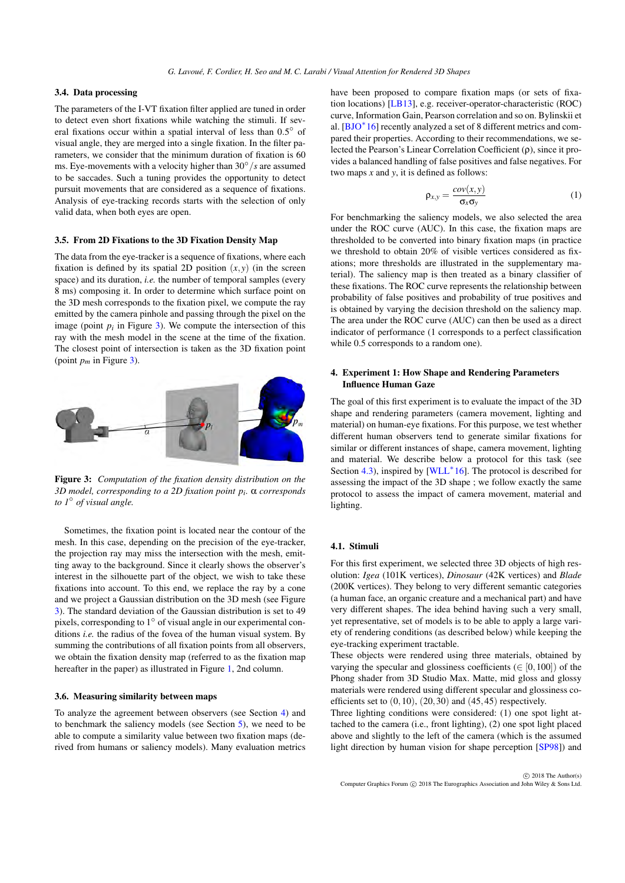### <span id="page-3-3"></span>3.4. Data processing

The parameters of the I-VT fixation filter applied are tuned in order to detect even short fixations while watching the stimuli. If several fixations occur within a spatial interval of less than  $0.5^{\circ}$  of visual angle, they are merged into a single fixation. In the filter parameters, we consider that the minimum duration of fixation is 60 ms. Eye-movements with a velocity higher than 30◦ /*s* are assumed to be saccades. Such a tuning provides the opportunity to detect pursuit movements that are considered as a sequence of fixations. Analysis of eye-tracking records starts with the selection of only valid data, when both eyes are open.

#### 3.5. From 2D Fixations to the 3D Fixation Density Map

The data from the eye-tracker is a sequence of fixations, where each fixation is defined by its spatial 2D position  $(x, y)$  (in the screen space) and its duration, *i.e.* the number of temporal samples (every 8 ms) composing it. In order to determine which surface point on the 3D mesh corresponds to the fixation pixel, we compute the ray emitted by the camera pinhole and passing through the pixel on the image (point  $p_i$  in Figure [3\)](#page-3-2). We compute the intersection of this ray with the mesh model in the scene at the time of the fixation. The closest point of intersection is taken as the 3D fixation point (point  $p_m$  in Figure [3\)](#page-3-2).



<span id="page-3-2"></span>Figure 3: *Computation of the fixation density distribution on the 3D model, corresponding to a 2D fixation point pi .* α *corresponds to 1*◦ *of visual angle.*

Sometimes, the fixation point is located near the contour of the mesh. In this case, depending on the precision of the eye-tracker, the projection ray may miss the intersection with the mesh, emitting away to the background. Since it clearly shows the observer's interest in the silhouette part of the object, we wish to take these fixations into account. To this end, we replace the ray by a cone and we project a Gaussian distribution on the 3D mesh (see Figure [3\)](#page-3-2). The standard deviation of the Gaussian distribution is set to 49 pixels, corresponding to  $1^{\circ}$  of visual angle in our experimental conditions *i.e.* the radius of the fovea of the human visual system. By summing the contributions of all fixation points from all observers, we obtain the fixation density map (referred to as the fixation map hereafter in the paper) as illustrated in Figure [1,](#page-0-0) 2nd column.

## 3.6. Measuring similarity between maps

To analyze the agreement between observers (see Section [4\)](#page-3-0) and to benchmark the saliency models (see Section [5\)](#page-6-0), we need to be able to compute a similarity value between two fixation maps (derived from humans or saliency models). Many evaluation metrics have been proposed to compare fixation maps (or sets of fixation locations) [\[LB13\]](#page-12-28), e.g. receiver-operator-characteristic (ROC) curve, Information Gain, Pearson correlation and so on. Bylinskii et al. [\[BJO](#page-12-22)<sup>\*</sup>16] recently analyzed a set of 8 different metrics and compared their properties. According to their recommendations, we selected the Pearson's Linear Correlation Coefficient (ρ), since it provides a balanced handling of false positives and false negatives. For two maps *x* and *y*, it is defined as follows:

$$
\rho_{x,y} = \frac{cov(x,y)}{\sigma_x \sigma_y} \tag{1}
$$

For benchmarking the saliency models, we also selected the area under the ROC curve (AUC). In this case, the fixation maps are thresholded to be converted into binary fixation maps (in practice we threshold to obtain 20% of visible vertices considered as fixations; more thresholds are illustrated in the supplementary material). The saliency map is then treated as a binary classifier of these fixations. The ROC curve represents the relationship between probability of false positives and probability of true positives and is obtained by varying the decision threshold on the saliency map. The area under the ROC curve (AUC) can then be used as a direct indicator of performance (1 corresponds to a perfect classification while 0.5 corresponds to a random one).

# <span id="page-3-0"></span>4. Experiment 1: How Shape and Rendering Parameters Influence Human Gaze

The goal of this first experiment is to evaluate the impact of the 3D shape and rendering parameters (camera movement, lighting and material) on human-eye fixations. For this purpose, we test whether different human observers tend to generate similar fixations for similar or different instances of shape, camera movement, lighting and material. We describe below a protocol for this task (see Section [4.3\)](#page-4-0), inspired by [\[WLL](#page-12-11)<sup>∗</sup>16]. The protocol is described for assessing the impact of the 3D shape ; we follow exactly the same protocol to assess the impact of camera movement, material and lighting.

# <span id="page-3-1"></span>4.1. Stimuli

For this first experiment, we selected three 3D objects of high resolution: *Igea* (101K vertices), *Dinosaur* (42K vertices) and *Blade* (200K vertices). They belong to very different semantic categories (a human face, an organic creature and a mechanical part) and have very different shapes. The idea behind having such a very small, yet representative, set of models is to be able to apply a large variety of rendering conditions (as described below) while keeping the eye-tracking experiment tractable.

These objects were rendered using three materials, obtained by varying the specular and glossiness coefficients ( $\in [0,100]$ ) of the Phong shader from 3D Studio Max. Matte, mid gloss and glossy materials were rendered using different specular and glossiness coefficients set to  $(0,10)$ ,  $(20,30)$  and  $(45,45)$  respectively.

Three lighting conditions were considered: (1) one spot light attached to the camera (i.e., front lighting), (2) one spot light placed above and slightly to the left of the camera (which is the assumed light direction by human vision for shape perception [\[SP98\]](#page-12-29)) and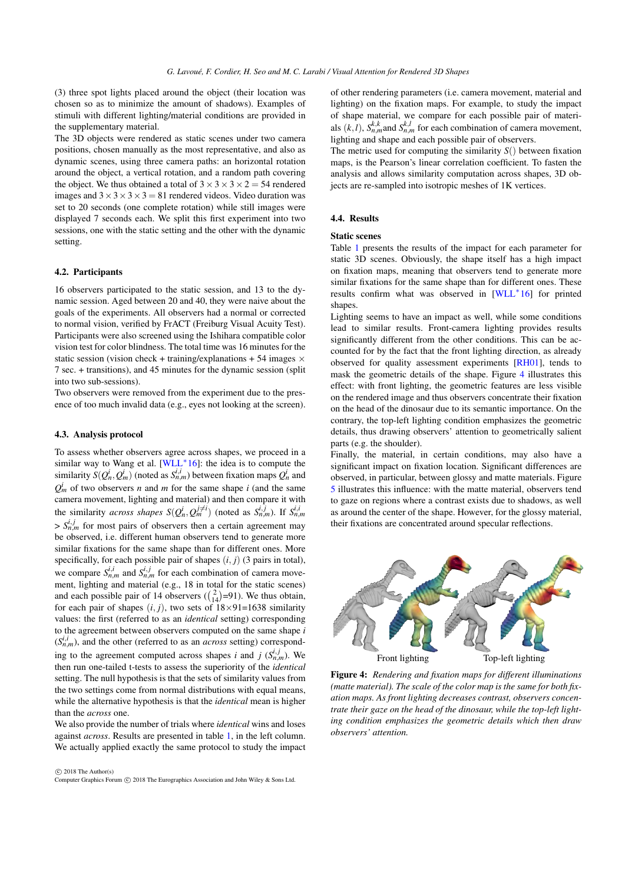<span id="page-4-2"></span>(3) three spot lights placed around the object (their location was chosen so as to minimize the amount of shadows). Examples of stimuli with different lighting/material conditions are provided in the supplementary material.

The 3D objects were rendered as static scenes under two camera positions, chosen manually as the most representative, and also as dynamic scenes, using three camera paths: an horizontal rotation around the object, a vertical rotation, and a random path covering the object. We thus obtained a total of  $3 \times 3 \times 3 \times 2 = 54$  rendered images and  $3 \times 3 \times 3 \times 3 = 81$  rendered videos. Video duration was set to 20 seconds (one complete rotation) while still images were displayed 7 seconds each. We split this first experiment into two sessions, one with the static setting and the other with the dynamic setting.

# 4.2. Participants

16 observers participated to the static session, and 13 to the dynamic session. Aged between 20 and 40, they were naive about the goals of the experiments. All observers had a normal or corrected to normal vision, verified by FrACT (Freiburg Visual Acuity Test). Participants were also screened using the Ishihara compatible color vision test for color blindness. The total time was 16 minutes for the static session (vision check + training/explanations + 54 images  $\times$ 7 sec. + transitions), and 45 minutes for the dynamic session (split into two sub-sessions).

Two observers were removed from the experiment due to the presence of too much invalid data (e.g., eyes not looking at the screen).

#### <span id="page-4-0"></span>4.3. Analysis protocol

To assess whether observers agree across shapes, we proceed in a similar way to Wang et al.  $[WLL^*16]$  $[WLL^*16]$ : the idea is to compute the similarity  $S(Q_n^i, Q_m^i)$  (noted as  $S_{n,m}^{i,i}$ ) between fixation maps  $Q_n^i$  and  $Q_m^i$  of two observers *n* and *m* for the same shape *i* (and the same camera movement, lighting and material) and then compare it with the similarity *across shapes*  $S(Q_n^i, Q_m^{j\neq i})$  (noted as  $S_{n,m}^{i,j}$ ). If  $S_{n,m}^{i,i}$  $> S_{n,m}^{i,j}$  for most pairs of observers then a certain agreement may be observed, i.e. different human observers tend to generate more similar fixations for the same shape than for different ones. More specifically, for each possible pair of shapes  $(i, j)$  (3 pairs in total), we compare  $S_{n,m}^{i,i}$  and  $S_{n,m}^{i,j}$  for each combination of camera movement, lighting and material (e.g., 18 in total for the static scenes) and each possible pair of 14 observers  $\left(\binom{2}{14} = 91\right)$ . We thus obtain, for each pair of shapes  $(i, j)$ , two sets of  $18 \times 91 = 1638$  similarity values: the first (referred to as an *identical* setting) corresponding to the agreement between observers computed on the same shape *i*  $(S_{n,m}^{i,i})$ , and the other (referred to as an *across* setting) corresponding to the agreement computed across shapes *i* and *j* ( $S_{n,m}^{i,j}$ ). We then run one-tailed t-tests to assess the superiority of the *identical* setting. The null hypothesis is that the sets of similarity values from the two settings come from normal distributions with equal means, while the alternative hypothesis is that the *identical* mean is higher than the *across* one.

We also provide the number of trials where *identical* wins and loses against *across*. Results are presented in table [1,](#page-5-0) in the left column. We actually applied exactly the same protocol to study the impact

 $\circ$  2018 The Author(s) Computer Graphics Forum (C) 2018 The Eurographics Association and John Wiley & Sons Ltd. of other rendering parameters (i.e. camera movement, material and lighting) on the fixation maps. For example, to study the impact of shape material, we compare for each possible pair of materials  $(k, l)$ ,  $S_{n,m}^{k,k}$  and  $S_{n,m}^{k,l}$  for each combination of camera movement, lighting and shape and each possible pair of observers.

The metric used for computing the similarity  $S()$  between fixation maps, is the Pearson's linear correlation coefficient. To fasten the analysis and allows similarity computation across shapes, 3D objects are re-sampled into isotropic meshes of 1K vertices.

### 4.4. Results

#### Static scenes

Table [1](#page-5-0) presents the results of the impact for each parameter for static 3D scenes. Obviously, the shape itself has a high impact on fixation maps, meaning that observers tend to generate more similar fixations for the same shape than for different ones. These results confirm what was observed in [\[WLL](#page-12-11)<sup>∗</sup> 16] for printed shapes.

Lighting seems to have an impact as well, while some conditions lead to similar results. Front-camera lighting provides results significantly different from the other conditions. This can be accounted for by the fact that the front lighting direction, as already observed for quality assessment experiments [\[RH01\]](#page-12-30), tends to mask the geometric details of the shape. Figure [4](#page-4-1) illustrates this effect: with front lighting, the geometric features are less visible on the rendered image and thus observers concentrate their fixation on the head of the dinosaur due to its semantic importance. On the contrary, the top-left lighting condition emphasizes the geometric details, thus drawing observers' attention to geometrically salient parts (e.g. the shoulder).

Finally, the material, in certain conditions, may also have a significant impact on fixation location. Significant differences are observed, in particular, between glossy and matte materials. Figure [5](#page-5-1) illustrates this influence: with the matte material, observers tend to gaze on regions where a contrast exists due to shadows, as well as around the center of the shape. However, for the glossy material, their fixations are concentrated around specular reflections.



<span id="page-4-1"></span>Figure 4: *Rendering and fixation maps for different illuminations (matte material). The scale of the color map is the same for both fixation maps. As front lighting decreases contrast, observers concentrate their gaze on the head of the dinosaur, while the top-left lighting condition emphasizes the geometric details which then draw observers' attention.*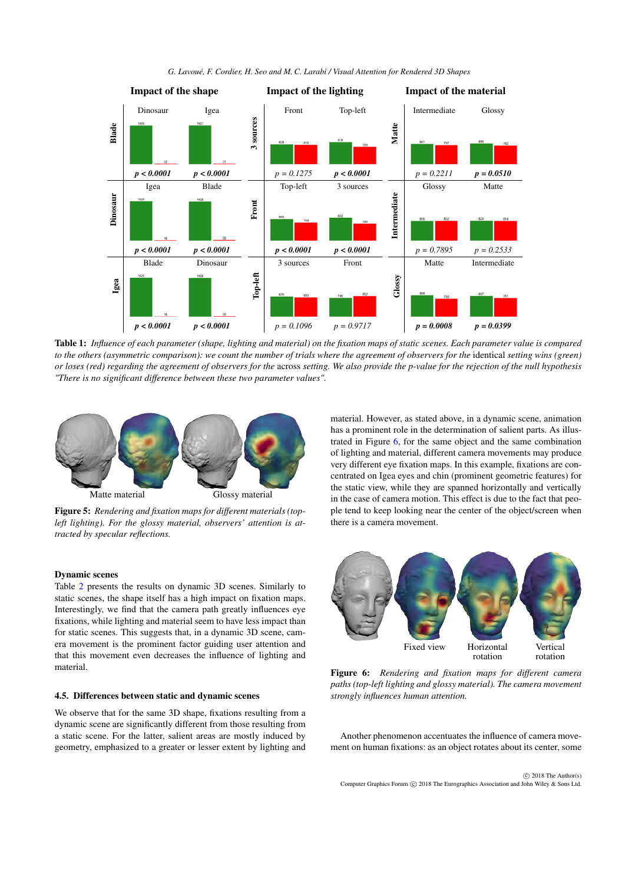

*G. Lavoué, F. Cordier, H. Seo and M. C. Larabi / Visual Attention for Rendered 3D Shapes*

<span id="page-5-0"></span>Table 1: *Influence of each parameter (shape, lighting and material) on the fixation maps of static scenes. Each parameter value is compared to the others (asymmetric comparison): we count the number of trials where the agreement of observers for the identical setting wins (green) or loses (red) regarding the agreement of observers for the* across *setting. We also provide the p-value for the rejection of the null hypothesis "There is no significant difference between these two parameter values".*



Figure 5: *Rendering and fixation maps for different materials (topleft lighting). For the glossy material, observers' attention is attracted by specular reflections.*

#### <span id="page-5-1"></span>Dynamic scenes

Table [2](#page-6-1) presents the results on dynamic 3D scenes. Similarly to static scenes, the shape itself has a high impact on fixation maps. Interestingly, we find that the camera path greatly influences eye fixations, while lighting and material seem to have less impact than for static scenes. This suggests that, in a dynamic 3D scene, camera movement is the prominent factor guiding user attention and that this movement even decreases the influence of lighting and material.

# 4.5. Differences between static and dynamic scenes

We observe that for the same 3D shape, fixations resulting from a dynamic scene are significantly different from those resulting from a static scene. For the latter, salient areas are mostly induced by geometry, emphasized to a greater or lesser extent by lighting and material. However, as stated above, in a dynamic scene, animation has a prominent role in the determination of salient parts. As illustrated in Figure [6,](#page-5-2) for the same object and the same combination of lighting and material, different camera movements may produce very different eye fixation maps. In this example, fixations are concentrated on Igea eyes and chin (prominent geometric features) for the static view, while they are spanned horizontally and vertically in the case of camera motion. This effect is due to the fact that people tend to keep looking near the center of the object/screen when there is a camera movement.



Figure 6: *Rendering and fixation maps for different camera paths (top-left lighting and glossy material). The camera movement strongly influences human attention.*

<span id="page-5-2"></span>Another phenomenon accentuates the influence of camera movement on human fixations: as an object rotates about its center, some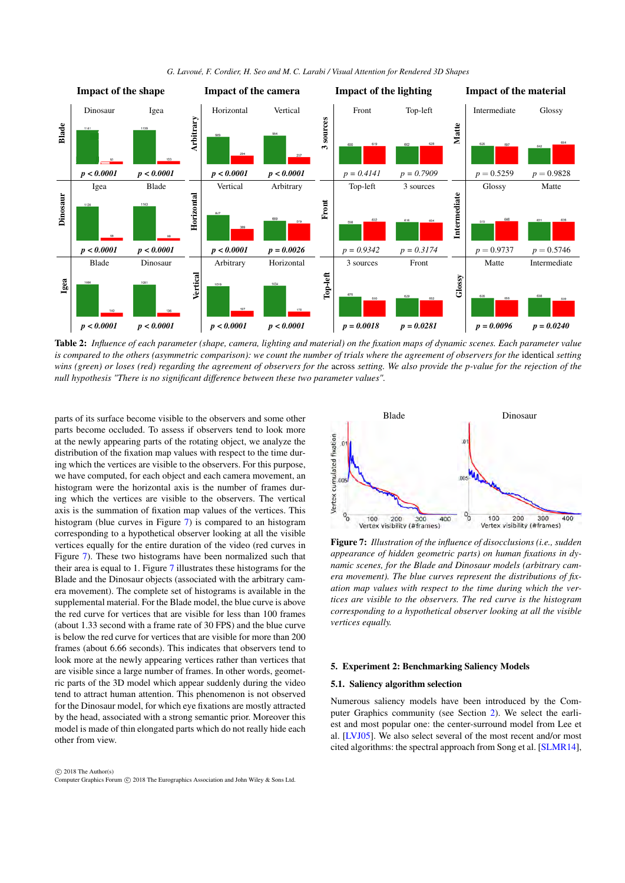<span id="page-6-4"></span>

*G. Lavoué, F. Cordier, H. Seo and M. C. Larabi / Visual Attention for Rendered 3D Shapes*

<span id="page-6-1"></span>Table 2: *Influence of each parameter (shape, camera, lighting and material) on the fixation maps of dynamic scenes. Each parameter value is compared to the others (asymmetric comparison): we count the number of trials where the agreement of observers for the* identical *setting wins (green) or loses (red) regarding the agreement of observers for the* across *setting. We also provide the p-value for the rejection of the null hypothesis "There is no significant difference between these two parameter values".*

parts of its surface become visible to the observers and some other parts become occluded. To assess if observers tend to look more at the newly appearing parts of the rotating object, we analyze the distribution of the fixation map values with respect to the time during which the vertices are visible to the observers. For this purpose, we have computed, for each object and each camera movement, an histogram were the horizontal axis is the number of frames during which the vertices are visible to the observers. The vertical axis is the summation of fixation map values of the vertices. This histogram (blue curves in Figure [7\)](#page-6-2) is compared to an histogram corresponding to a hypothetical observer looking at all the visible vertices equally for the entire duration of the video (red curves in Figure [7\)](#page-6-2). These two histograms have been normalized such that their area is equal to 1. Figure [7](#page-6-2) illustrates these histograms for the Blade and the Dinosaur objects (associated with the arbitrary camera movement). The complete set of histograms is available in the supplemental material. For the Blade model, the blue curve is above the red curve for vertices that are visible for less than 100 frames (about 1.33 second with a frame rate of 30 FPS) and the blue curve is below the red curve for vertices that are visible for more than 200 frames (about 6.66 seconds). This indicates that observers tend to look more at the newly appearing vertices rather than vertices that are visible since a large number of frames. In other words, geometric parts of the 3D model which appear suddenly during the video tend to attract human attention. This phenomenon is not observed for the Dinosaur model, for which eye fixations are mostly attracted by the head, associated with a strong semantic prior. Moreover this model is made of thin elongated parts which do not really hide each other from view.



<span id="page-6-2"></span>Figure 7: *Illustration of the influence of disocclusions (i.e., sudden appearance of hidden geometric parts) on human fixations in dynamic scenes, for the Blade and Dinosaur models (arbitrary camera movement). The blue curves represent the distributions of fixation map values with respect to the time during which the vertices are visible to the observers. The red curve is the histogram corresponding to a hypothetical observer looking at all the visible vertices equally.*

# <span id="page-6-0"></span>5. Experiment 2: Benchmarking Saliency Models

#### <span id="page-6-3"></span>5.1. Saliency algorithm selection

Numerous saliency models have been introduced by the Computer Graphics community (see Section [2\)](#page-1-0). We select the earliest and most popular one: the center-surround model from Lee et al. [\[LVJ05\]](#page-12-0). We also select several of the most recent and/or most cited algorithms: the spectral approach from Song et al. [\[SLMR14\]](#page-12-2),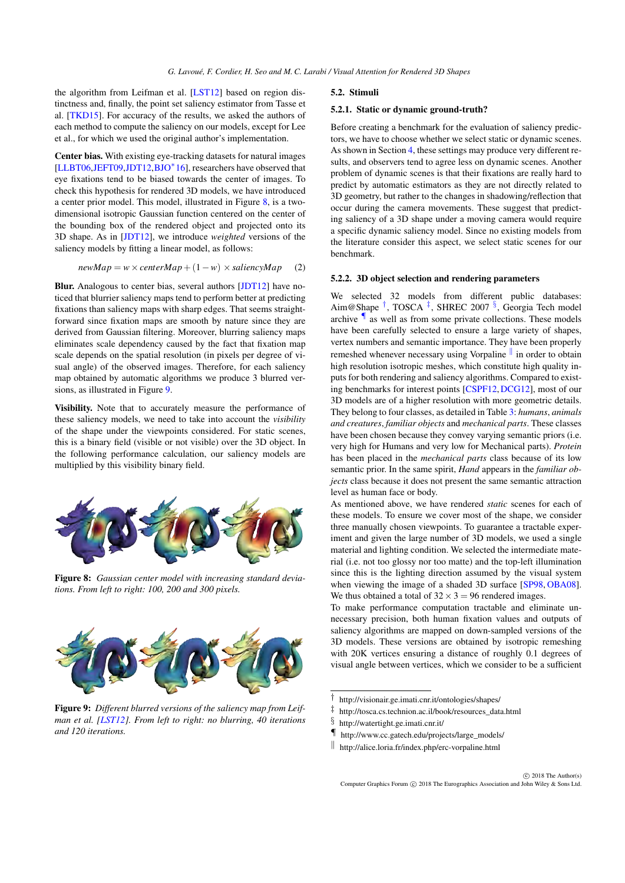<span id="page-7-9"></span>the algorithm from Leifman et al. [\[LST12\]](#page-12-1) based on region distinctness and, finally, the point set saliency estimator from Tasse et al. [\[TKD15\]](#page-12-3). For accuracy of the results, we asked the authors of each method to compute the saliency on our models, except for Lee et al., for which we used the original author's implementation.

Center bias. With existing eye-tracking datasets for natural images [\[LLBT06](#page-12-6)[,JEFT09](#page-12-7)[,JDT12,](#page-12-31)[BJO](#page-12-22)<sup>∗</sup> 16], researchers have observed that eye fixations tend to be biased towards the center of images. To check this hypothesis for rendered 3D models, we have introduced a center prior model. This model, illustrated in Figure [8,](#page-7-1) is a twodimensional isotropic Gaussian function centered on the center of the bounding box of the rendered object and projected onto its 3D shape. As in [\[JDT12\]](#page-12-31), we introduce *weighted* versions of the saliency models by fitting a linear model, as follows:

$$
newMap = w \times centerMap + (1 - w) \times saliencyMap
$$
 (2)

Blur. Analogous to center bias, several authors [\[JDT12\]](#page-12-31) have noticed that blurrier saliency maps tend to perform better at predicting fixations than saliency maps with sharp edges. That seems straightforward since fixation maps are smooth by nature since they are derived from Gaussian filtering. Moreover, blurring saliency maps eliminates scale dependency caused by the fact that fixation map scale depends on the spatial resolution (in pixels per degree of visual angle) of the observed images. Therefore, for each saliency map obtained by automatic algorithms we produce 3 blurred versions, as illustrated in Figure [9.](#page-7-2)

Visibility. Note that to accurately measure the performance of these saliency models, we need to take into account the *visibility* of the shape under the viewpoints considered. For static scenes, this is a binary field (visible or not visible) over the 3D object. In the following performance calculation, our saliency models are multiplied by this visibility binary field.



<span id="page-7-1"></span>Figure 8: *Gaussian center model with increasing standard deviations. From left to right: 100, 200 and 300 pixels.*



<span id="page-7-2"></span>Figure 9: *Different blurred versions of the saliency map from Leifman et al. [\[LST12\]](#page-12-1). From left to right: no blurring, 40 iterations and 120 iterations.*

#### <span id="page-7-0"></span>5.2. Stimuli

# 5.2.1. Static or dynamic ground-truth?

Before creating a benchmark for the evaluation of saliency predictors, we have to choose whether we select static or dynamic scenes. As shown in Section [4,](#page-3-0) these settings may produce very different results, and observers tend to agree less on dynamic scenes. Another problem of dynamic scenes is that their fixations are really hard to predict by automatic estimators as they are not directly related to 3D geometry, but rather to the changes in shadowing/reflection that occur during the camera movements. These suggest that predicting saliency of a 3D shape under a moving camera would require a specific dynamic saliency model. Since no existing models from the literature consider this aspect, we select static scenes for our benchmark.

#### <span id="page-7-8"></span>5.2.2. 3D object selection and rendering parameters

We selected 32 models from different public databases: Aim@Shape<sup>[†](#page-7-3)</sup>, TOSCA<sup>[‡](#page-7-4)</sup>, SHREC 2007<sup>[§](#page-7-5)</sup>, Georgia Tech model archive [¶](#page-7-6) as well as from some private collections. These models have been carefully selected to ensure a large variety of shapes, vertex numbers and semantic importance. They have been properly remeshed whenever necessary using Vorpaline  $\parallel$  in order to obtain high resolution isotropic meshes, which constitute high quality inputs for both rendering and saliency algorithms. Compared to existing benchmarks for interest points [\[CSPF12,](#page-12-12)[DCG12\]](#page-12-26), most of our 3D models are of a higher resolution with more geometric details. They belong to four classes, as detailed in Table [3:](#page-8-0) *humans*, *animals and creatures*, *familiar objects* and *mechanical parts*. These classes have been chosen because they convey varying semantic priors (i.e. very high for Humans and very low for Mechanical parts). *Protein* has been placed in the *mechanical parts* class because of its low semantic prior. In the same spirit, *Hand* appears in the *familiar objects* class because it does not present the same semantic attraction level as human face or body.

As mentioned above, we have rendered *static* scenes for each of these models. To ensure we cover most of the shape, we consider three manually chosen viewpoints. To guarantee a tractable experiment and given the large number of 3D models, we used a single material and lighting condition. We selected the intermediate material (i.e. not too glossy nor too matte) and the top-left illumination since this is the lighting direction assumed by the visual system when viewing the image of a shaded 3D surface [\[SP98,](#page-12-29) [OBA08\]](#page-12-32). We thus obtained a total of  $32 \times 3 = 96$  rendered images.

To make performance computation tractable and eliminate unnecessary precision, both human fixation values and outputs of saliency algorithms are mapped on down-sampled versions of the 3D models. These versions are obtained by isotropic remeshing with 20K vertices ensuring a distance of roughly 0.1 degrees of visual angle between vertices, which we consider to be a sufficient

<span id="page-7-4"></span>‡ http://tosca.cs.technion.ac.il/book/resources\_data.html

- <span id="page-7-6"></span>¶ http://www.cc.gatech.edu/projects/large\_models/
- <span id="page-7-7"></span> $\parallel$  http://alice.loria.fr/index.php/erc-vorpaline.html

 $\odot$  2018 The Author(s) Computer Graphics Forum (C) 2018 The Eurographics Association and John Wiley & Sons Ltd.

<span id="page-7-3"></span><sup>†</sup> http://visionair.ge.imati.cnr.it/ontologies/shapes/

<span id="page-7-5"></span><sup>§</sup> http://watertight.ge.imati.cnr.it/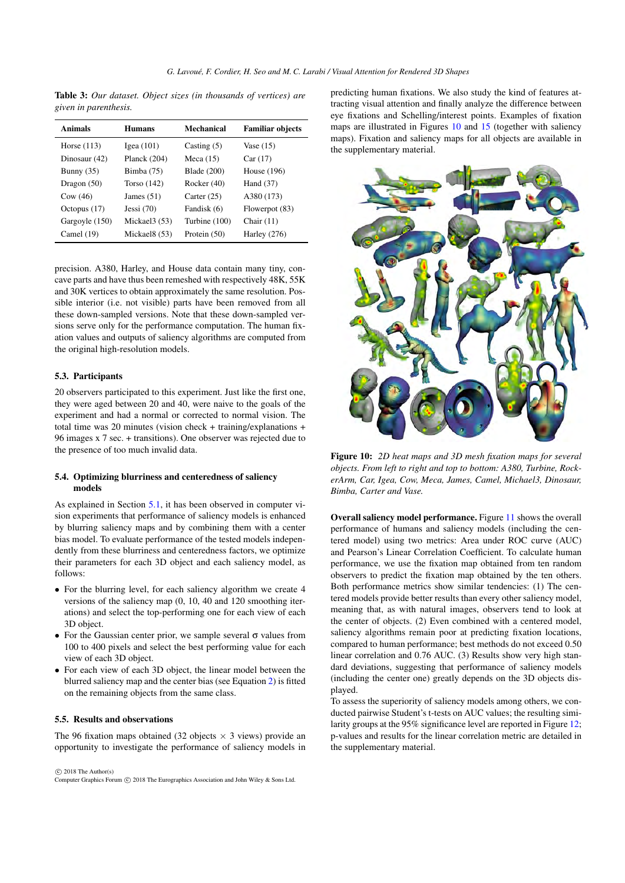<span id="page-8-0"></span>Table 3: *Our dataset. Object sizes (in thousands of vertices) are given in parenthesis.*

| <b>Animals</b> | <b>Humans</b>             | <b>Mechanical</b> | <b>Familiar objects</b> |
|----------------|---------------------------|-------------------|-------------------------|
| Horse $(113)$  | Igea $(101)$              | Casting $(5)$     | Vase $(15)$             |
| Dinosaur (42)  | Planck $(204)$            | Meca $(15)$       | Car(17)                 |
| Bunny $(35)$   | Bimba $(75)$              | Blade $(200)$     | House $(196)$           |
| Dragon $(50)$  | Torso $(142)$             | Rocker $(40)$     | Hand $(37)$             |
| Cow(46)        | James $(51)$              | Carter $(25)$     | A380 (173)              |
| Octopus (17)   | Jessi $(70)$              | Fandisk (6)       | Flowerpot (83)          |
| Gargoyle (150) | Mickael <sub>3</sub> (53) | Turbine (100)     | Chair $(11)$            |
| Camel $(19)$   | Mickael8 (53)             | Protein $(50)$    | Harley $(276)$          |

precision. A380, Harley, and House data contain many tiny, concave parts and have thus been remeshed with respectively 48K, 55K and 30K vertices to obtain approximately the same resolution. Possible interior (i.e. not visible) parts have been removed from all these down-sampled versions. Note that these down-sampled versions serve only for the performance computation. The human fixation values and outputs of saliency algorithms are computed from the original high-resolution models.

### 5.3. Participants

20 observers participated to this experiment. Just like the first one, they were aged between 20 and 40, were naive to the goals of the experiment and had a normal or corrected to normal vision. The total time was 20 minutes (vision check + training/explanations + 96 images x 7 sec. + transitions). One observer was rejected due to the presence of too much invalid data.

# 5.4. Optimizing blurriness and centeredness of saliency models

As explained in Section [5.1,](#page-6-3) it has been observed in computer vision experiments that performance of saliency models is enhanced by blurring saliency maps and by combining them with a center bias model. To evaluate performance of the tested models independently from these blurriness and centeredness factors, we optimize their parameters for each 3D object and each saliency model, as follows:

- For the blurring level, for each saliency algorithm we create 4 versions of the saliency map (0, 10, 40 and 120 smoothing iterations) and select the top-performing one for each view of each 3D object.
- For the Gaussian center prior, we sample several  $\sigma$  values from 100 to 400 pixels and select the best performing value for each view of each 3D object.
- For each view of each 3D object, the linear model between the blurred saliency map and the center bias (see Equation [2\)](#page-7-8) is fitted on the remaining objects from the same class.

# 5.5. Results and observations

The 96 fixation maps obtained (32 objects  $\times$  3 views) provide an opportunity to investigate the performance of saliency models in

 $\circ$  2018 The Author(s) Computer Graphics Forum (C) 2018 The Eurographics Association and John Wiley & Sons Ltd. predicting human fixations. We also study the kind of features attracting visual attention and finally analyze the difference between eye fixations and Schelling/interest points. Examples of fixation maps are illustrated in Figures [10](#page-8-1) and [15](#page-11-0) (together with saliency maps). Fixation and saliency maps for all objects are available in the supplementary material.



<span id="page-8-1"></span>Figure 10: *2D heat maps and 3D mesh fixation maps for several objects. From left to right and top to bottom: A380, Turbine, RockerArm, Car, Igea, Cow, Meca, James, Camel, Michael3, Dinosaur, Bimba, Carter and Vase.*

Overall saliency model performance. Figure [11](#page-9-0) shows the overall performance of humans and saliency models (including the centered model) using two metrics: Area under ROC curve (AUC) and Pearson's Linear Correlation Coefficient. To calculate human performance, we use the fixation map obtained from ten random observers to predict the fixation map obtained by the ten others. Both performance metrics show similar tendencies: (1) The centered models provide better results than every other saliency model, meaning that, as with natural images, observers tend to look at the center of objects. (2) Even combined with a centered model, saliency algorithms remain poor at predicting fixation locations, compared to human performance; best methods do not exceed 0.50 linear correlation and 0.76 AUC. (3) Results show very high standard deviations, suggesting that performance of saliency models (including the center one) greatly depends on the 3D objects displayed.

To assess the superiority of saliency models among others, we conducted pairwise Student's t-tests on AUC values; the resulting similarity groups at the 95% significance level are reported in Figure [12;](#page-9-1) p-values and results for the linear correlation metric are detailed in the supplementary material.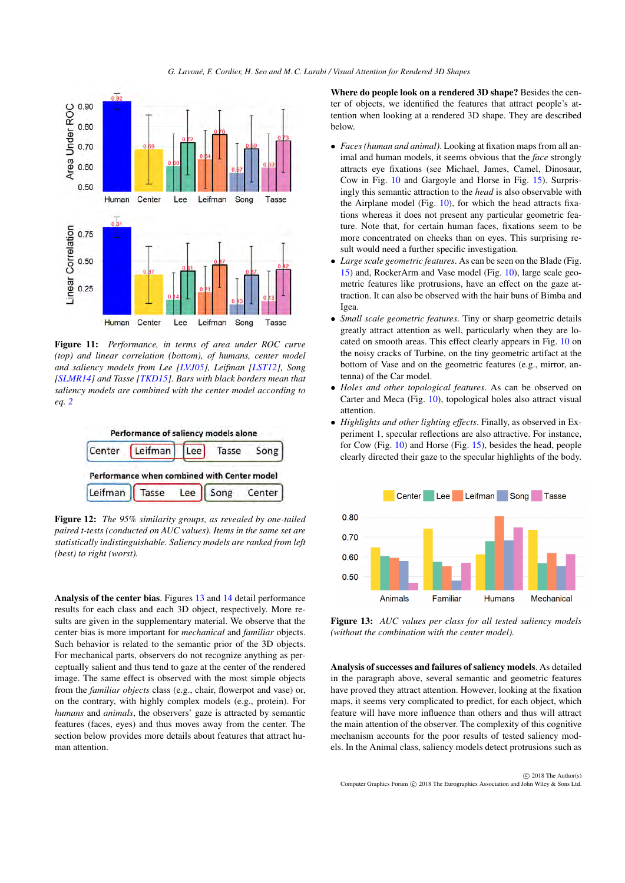<span id="page-9-3"></span>

<span id="page-9-0"></span>Figure 11: *Performance, in terms of area under ROC curve (top) and linear correlation (bottom), of humans, center model and saliency models from Lee [\[LVJ05\]](#page-12-0), Leifman [\[LST12\]](#page-12-1), Song [\[SLMR14\]](#page-12-2) and Tasse [\[TKD15\]](#page-12-3). Bars with black borders mean that saliency models are combined with the center model according to eq. [2](#page-7-8)*



<span id="page-9-1"></span>Figure 12: *The 95% similarity groups, as revealed by one-tailed paired t-tests (conducted on AUC values). Items in the same set are statistically indistinguishable. Saliency models are ranked from left (best) to right (worst).*

Analysis of the center bias. Figures [13](#page-9-2) and [14](#page-10-0) detail performance results for each class and each 3D object, respectively. More results are given in the supplementary material. We observe that the center bias is more important for *mechanical* and *familiar* objects. Such behavior is related to the semantic prior of the 3D objects. For mechanical parts, observers do not recognize anything as perceptually salient and thus tend to gaze at the center of the rendered image. The same effect is observed with the most simple objects from the *familiar objects* class (e.g., chair, flowerpot and vase) or, on the contrary, with highly complex models (e.g., protein). For *humans* and *animals*, the observers' gaze is attracted by semantic features (faces, eyes) and thus moves away from the center. The section below provides more details about features that attract human attention.

Where do people look on a rendered 3D shape? Besides the center of objects, we identified the features that attract people's attention when looking at a rendered 3D shape. They are described below.

- *Faces (human and animal)*. Looking at fixation maps from all animal and human models, it seems obvious that the *face* strongly attracts eye fixations (see Michael, James, Camel, Dinosaur, Cow in Fig. [10](#page-8-1) and Gargoyle and Horse in Fig. [15\)](#page-11-0). Surprisingly this semantic attraction to the *head* is also observable with the Airplane model (Fig. [10\)](#page-8-1), for which the head attracts fixations whereas it does not present any particular geometric feature. Note that, for certain human faces, fixations seem to be more concentrated on cheeks than on eyes. This surprising result would need a further specific investigation.
- *Large scale geometric features*. As can be seen on the Blade (Fig. [15\)](#page-11-0) and, RockerArm and Vase model (Fig. [10\)](#page-8-1), large scale geometric features like protrusions, have an effect on the gaze attraction. It can also be observed with the hair buns of Bimba and Igea.
- *Small scale geometric features*. Tiny or sharp geometric details greatly attract attention as well, particularly when they are located on smooth areas. This effect clearly appears in Fig. [10](#page-8-1) on the noisy cracks of Turbine, on the tiny geometric artifact at the bottom of Vase and on the geometric features (e.g., mirror, antenna) of the Car model.
- *Holes and other topological features*. As can be observed on Carter and Meca (Fig. [10\)](#page-8-1), topological holes also attract visual attention.
- *Highlights and other lighting effects*. Finally, as observed in Experiment 1, specular reflections are also attractive. For instance, for Cow (Fig. [10\)](#page-8-1) and Horse (Fig. [15\)](#page-11-0), besides the head, people clearly directed their gaze to the specular highlights of the body.



<span id="page-9-2"></span>Figure 13: *AUC values per class for all tested saliency models (without the combination with the center model).*

Analysis of successes and failures of saliency models. As detailed in the paragraph above, several semantic and geometric features have proved they attract attention. However, looking at the fixation maps, it seems very complicated to predict, for each object, which feature will have more influence than others and thus will attract the main attention of the observer. The complexity of this cognitive mechanism accounts for the poor results of tested saliency models. In the Animal class, saliency models detect protrusions such as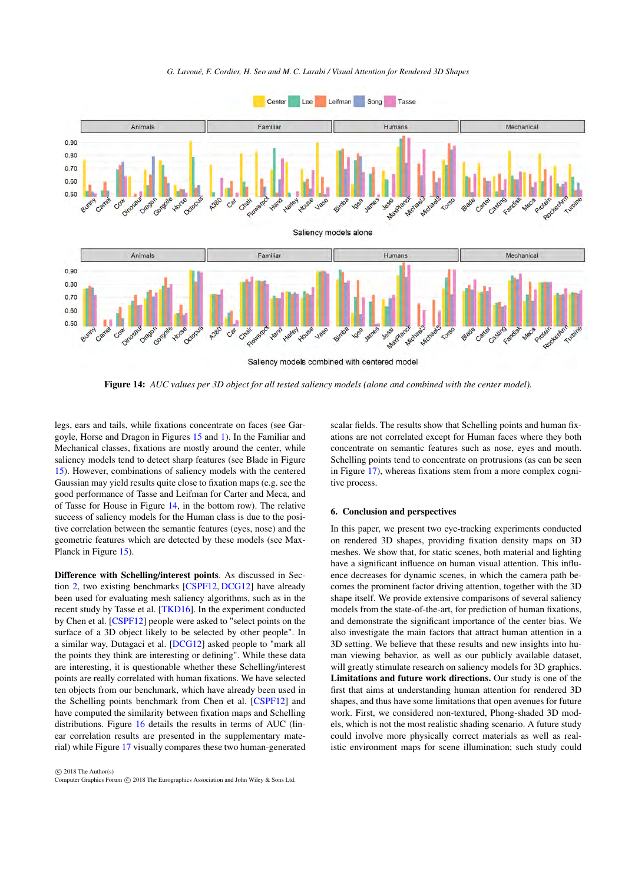*G. Lavoué, F. Cordier, H. Seo and M. C. Larabi / Visual Attention for Rendered 3D Shapes*

<span id="page-10-1"></span>

<span id="page-10-0"></span>Figure 14: *AUC values per 3D object for all tested saliency models (alone and combined with the center model).*

legs, ears and tails, while fixations concentrate on faces (see Gargoyle, Horse and Dragon in Figures [15](#page-11-0) and [1\)](#page-0-0). In the Familiar and Mechanical classes, fixations are mostly around the center, while saliency models tend to detect sharp features (see Blade in Figure [15\)](#page-11-0). However, combinations of saliency models with the centered Gaussian may yield results quite close to fixation maps (e.g. see the good performance of Tasse and Leifman for Carter and Meca, and of Tasse for House in Figure [14,](#page-10-0) in the bottom row). The relative success of saliency models for the Human class is due to the positive correlation between the semantic features (eyes, nose) and the geometric features which are detected by these models (see Max-Planck in Figure [15\)](#page-11-0).

Difference with Schelling/interest points. As discussed in Section [2,](#page-1-0) two existing benchmarks [\[CSPF12,](#page-12-12) [DCG12\]](#page-12-26) have already been used for evaluating mesh saliency algorithms, such as in the recent study by Tasse et al. [\[TKD16\]](#page-12-33). In the experiment conducted by Chen et al. [\[CSPF12\]](#page-12-12) people were asked to "select points on the surface of a 3D object likely to be selected by other people". In a similar way, Dutagaci et al. [\[DCG12\]](#page-12-26) asked people to "mark all the points they think are interesting or defining". While these data are interesting, it is questionable whether these Schelling/interest points are really correlated with human fixations. We have selected ten objects from our benchmark, which have already been used in the Schelling points benchmark from Chen et al. [\[CSPF12\]](#page-12-12) and have computed the similarity between fixation maps and Schelling distributions. Figure [16](#page-11-1) details the results in terms of AUC (linear correlation results are presented in the supplementary material) while Figure [17](#page-11-2) visually compares these two human-generated

scalar fields. The results show that Schelling points and human fixations are not correlated except for Human faces where they both concentrate on semantic features such as nose, eyes and mouth. Schelling points tend to concentrate on protrusions (as can be seen in Figure [17\)](#page-11-2), whereas fixations stem from a more complex cognitive process.

# 6. Conclusion and perspectives

In this paper, we present two eye-tracking experiments conducted on rendered 3D shapes, providing fixation density maps on 3D meshes. We show that, for static scenes, both material and lighting have a significant influence on human visual attention. This influence decreases for dynamic scenes, in which the camera path becomes the prominent factor driving attention, together with the 3D shape itself. We provide extensive comparisons of several saliency models from the state-of-the-art, for prediction of human fixations, and demonstrate the significant importance of the center bias. We also investigate the main factors that attract human attention in a 3D setting. We believe that these results and new insights into human viewing behavior, as well as our publicly available dataset, will greatly stimulate research on saliency models for 3D graphics. Limitations and future work directions. Our study is one of the first that aims at understanding human attention for rendered 3D shapes, and thus have some limitations that open avenues for future work. First, we considered non-textured, Phong-shaded 3D models, which is not the most realistic shading scenario. A future study could involve more physically correct materials as well as realistic environment maps for scene illumination; such study could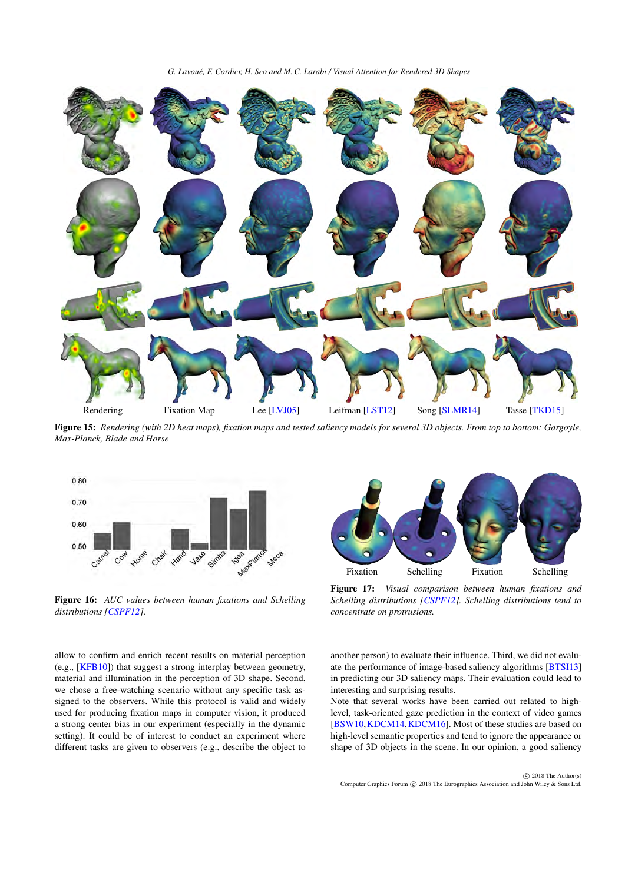*G. Lavoué, F. Cordier, H. Seo and M. C. Larabi / Visual Attention for Rendered 3D Shapes*

<span id="page-11-3"></span>

<span id="page-11-0"></span>Figure 15: *Rendering (with 2D heat maps), fixation maps and tested saliency models for several 3D objects. From top to bottom: Gargoyle, Max-Planck, Blade and Horse*



<span id="page-11-1"></span>Figure 16: *AUC values between human fixations and Schelling distributions [\[CSPF12\]](#page-12-12).*

allow to confirm and enrich recent results on material perception (e.g., [\[KFB10\]](#page-12-34)) that suggest a strong interplay between geometry, material and illumination in the perception of 3D shape. Second, we chose a free-watching scenario without any specific task assigned to the observers. While this protocol is valid and widely used for producing fixation maps in computer vision, it produced a strong center bias in our experiment (especially in the dynamic setting). It could be of interest to conduct an experiment where different tasks are given to observers (e.g., describe the object to



<span id="page-11-2"></span>Figure 17: *Visual comparison between human fixations and Schelling distributions [\[CSPF12\]](#page-12-12). Schelling distributions tend to concentrate on protrusions.*

another person) to evaluate their influence. Third, we did not evaluate the performance of image-based saliency algorithms [\[BTSI13\]](#page-12-8) in predicting our 3D saliency maps. Their evaluation could lead to interesting and surprising results.

Note that several works have been carried out related to highlevel, task-oriented gaze prediction in the context of video games [\[BSW10,](#page-12-19)[KDCM14,](#page-12-20)[KDCM16\]](#page-12-21). Most of these studies are based on high-level semantic properties and tend to ignore the appearance or shape of 3D objects in the scene. In our opinion, a good saliency